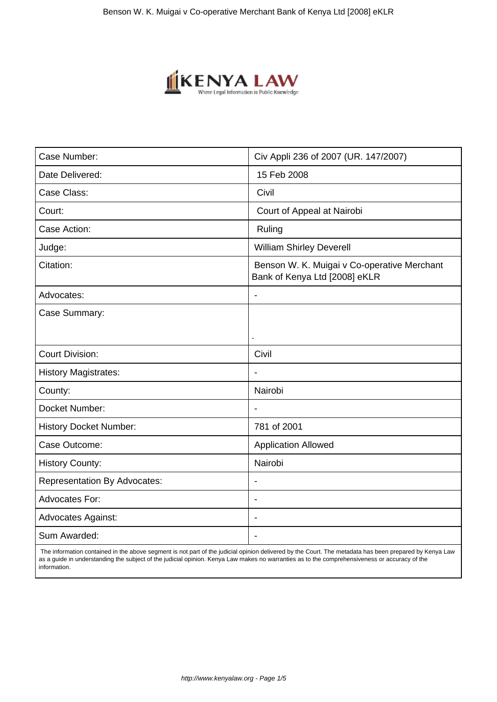

| Case Number:                        | Civ Appli 236 of 2007 (UR. 147/2007)                                         |
|-------------------------------------|------------------------------------------------------------------------------|
| Date Delivered:                     | 15 Feb 2008                                                                  |
| Case Class:                         | Civil                                                                        |
| Court:                              | Court of Appeal at Nairobi                                                   |
| Case Action:                        | Ruling                                                                       |
| Judge:                              | <b>William Shirley Deverell</b>                                              |
| Citation:                           | Benson W. K. Muigai v Co-operative Merchant<br>Bank of Kenya Ltd [2008] eKLR |
| Advocates:                          | $\blacksquare$                                                               |
| Case Summary:                       |                                                                              |
| <b>Court Division:</b>              | Civil                                                                        |
| <b>History Magistrates:</b>         | $\overline{\phantom{a}}$                                                     |
| County:                             | Nairobi                                                                      |
| Docket Number:                      |                                                                              |
| <b>History Docket Number:</b>       | 781 of 2001                                                                  |
| Case Outcome:                       | <b>Application Allowed</b>                                                   |
| <b>History County:</b>              | Nairobi                                                                      |
| <b>Representation By Advocates:</b> |                                                                              |
| <b>Advocates For:</b>               | $\blacksquare$                                                               |
| <b>Advocates Against:</b>           | $\overline{\phantom{a}}$                                                     |
| Sum Awarded:                        |                                                                              |

 The information contained in the above segment is not part of the judicial opinion delivered by the Court. The metadata has been prepared by Kenya Law as a guide in understanding the subject of the judicial opinion. Kenya Law makes no warranties as to the comprehensiveness or accuracy of the information.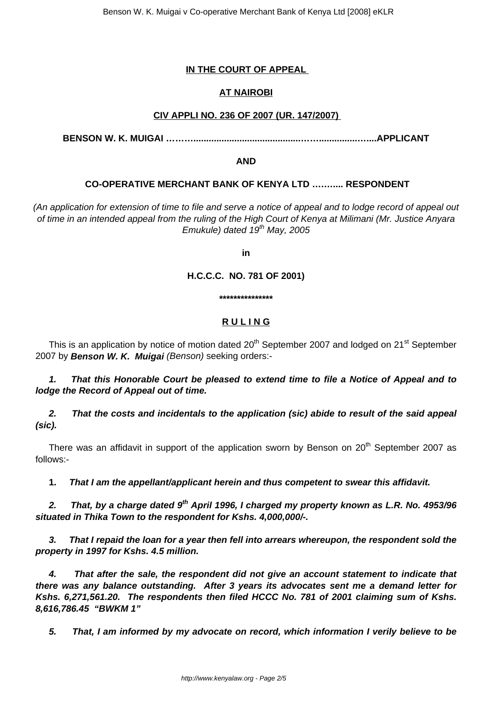# **IN THE COURT OF APPEAL**

# **AT NAIROBI**

## **CIV APPLI NO. 236 OF 2007 (UR. 147/2007)**

**BENSON W. K. MUIGAI ………..........................................……...............…....APPLICANT**

**AND**

## **CO-OPERATIVE MERCHANT BANK OF KENYA LTD ….….... RESPONDENT**

(An application for extension of time to file and serve a notice of appeal and to lodge record of appeal out of time in an intended appeal from the ruling of the High Court of Kenya at Milimani (Mr. Justice Anyara Emukule) dated  $19<sup>th</sup>$  May, 2005

**in**

**H.C.C.C. NO. 781 OF 2001)**

**\*\*\*\*\*\*\*\*\*\*\*\*\*\*\***

# **R U L I N G**

This is an application by notice of motion dated  $20<sup>th</sup>$  September 2007 and lodged on  $21<sup>st</sup>$  September 2007 by **Benson W. K. Muigai** (Benson) seeking orders:-

**1. That this Honorable Court be pleased to extend time to file a Notice of Appeal and to lodge the Record of Appeal out of time.**

**2. That the costs and incidentals to the application (sic) abide to result of the said appeal (sic).**

There was an affidavit in support of the application sworn by Benson on  $20<sup>th</sup>$  September 2007 as follows:-

**1. That I am the appellant/applicant herein and thus competent to swear this affidavit.**

**2. That, by a charge dated 9th April 1996, I charged my property known as L.R. No. 4953/96 situated in Thika Town to the respondent for Kshs. 4,000,000/-.**

**3. That I repaid the loan for a year then fell into arrears whereupon, the respondent sold the property in 1997 for Kshs. 4.5 million.**

**4. That after the sale, the respondent did not give an account statement to indicate that there was any balance outstanding. After 3 years its advocates sent me a demand letter for Kshs. 6,271,561.20. The respondents then filed HCCC No. 781 of 2001 claiming sum of Kshs. 8,616,786.45 "BWKM 1"**

**5. That, I am informed by my advocate on record, which information I verily believe to be**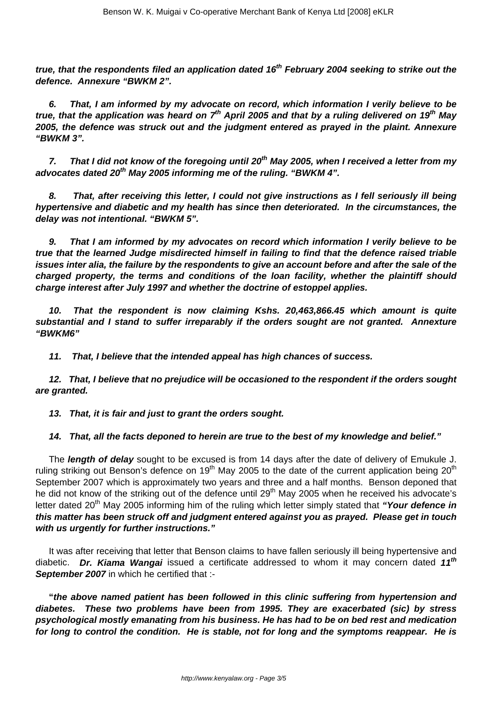**true, that the respondents filed an application dated 16th February 2004 seeking to strike out the defence. Annexure "BWKM 2".**

**6. That, I am informed by my advocate on record, which information I verily believe to be true, that the application was heard on 7th April 2005 and that by a ruling delivered on 19th May 2005, the defence was struck out and the judgment entered as prayed in the plaint. Annexure "BWKM 3".**

**7. That I did not know of the foregoing until 20th May 2005, when I received a letter from my advocates dated 20th May 2005 informing me of the ruling. "BWKM 4".**

**8. That, after receiving this letter, I could not give instructions as I fell seriously ill being hypertensive and diabetic and my health has since then deteriorated. In the circumstances, the delay was not intentional. "BWKM 5".**

**9. That I am informed by my advocates on record which information I verily believe to be true that the learned Judge misdirected himself in failing to find that the defence raised triable issues inter alia, the failure by the respondents to give an account before and after the sale of the charged property, the terms and conditions of the loan facility, whether the plaintiff should charge interest after July 1997 and whether the doctrine of estoppel applies.**

**10. That the respondent is now claiming Kshs. 20,463,866.45 which amount is quite substantial and I stand to suffer irreparably if the orders sought are not granted. Annexture "BWKM6"**

**11. That, I believe that the intended appeal has high chances of success.**

**12. That, I believe that no prejudice will be occasioned to the respondent if the orders sought are granted.**

**13. That, it is fair and just to grant the orders sought.**

**14. That, all the facts deponed to herein are true to the best of my knowledge and belief."** 

The **length of delay** sought to be excused is from 14 days after the date of delivery of Emukule J. ruling striking out Benson's defence on 19<sup>th</sup> May 2005 to the date of the current application being 20<sup>th</sup> September 2007 which is approximately two years and three and a half months. Benson deponed that he did not know of the striking out of the defence until 29<sup>th</sup> May 2005 when he received his advocate's letter dated 20<sup>th</sup> May 2005 informing him of the ruling which letter simply stated that **"Your defence in this matter has been struck off and judgment entered against you as prayed. Please get in touch with us urgently for further instructions."**

It was after receiving that letter that Benson claims to have fallen seriously ill being hypertensive and diabetic. **Dr. Kiama Wangai** issued a certificate addressed to whom it may concern dated **11th September 2007** in which he certified that :-

**"the above named patient has been followed in this clinic suffering from hypertension and diabetes. These two problems have been from 1995. They are exacerbated (sic) by stress psychological mostly emanating from his business. He has had to be on bed rest and medication for long to control the condition. He is stable, not for long and the symptoms reappear. He is**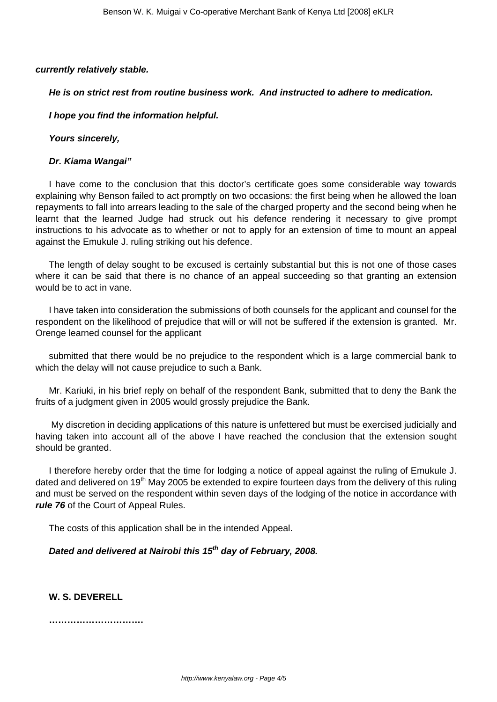#### **currently relatively stable.**

#### **He is on strict rest from routine business work. And instructed to adhere to medication.**

#### **I hope you find the information helpful.**

**Yours sincerely,** 

#### **Dr. Kiama Wangai"**

I have come to the conclusion that this doctor's certificate goes some considerable way towards explaining why Benson failed to act promptly on two occasions: the first being when he allowed the loan repayments to fall into arrears leading to the sale of the charged property and the second being when he learnt that the learned Judge had struck out his defence rendering it necessary to give prompt instructions to his advocate as to whether or not to apply for an extension of time to mount an appeal against the Emukule J. ruling striking out his defence.

The length of delay sought to be excused is certainly substantial but this is not one of those cases where it can be said that there is no chance of an appeal succeeding so that granting an extension would be to act in vane.

I have taken into consideration the submissions of both counsels for the applicant and counsel for the respondent on the likelihood of prejudice that will or will not be suffered if the extension is granted. Mr. Orenge learned counsel for the applicant

submitted that there would be no prejudice to the respondent which is a large commercial bank to which the delay will not cause prejudice to such a Bank.

Mr. Kariuki, in his brief reply on behalf of the respondent Bank, submitted that to deny the Bank the fruits of a judgment given in 2005 would grossly prejudice the Bank.

My discretion in deciding applications of this nature is unfettered but must be exercised judicially and having taken into account all of the above I have reached the conclusion that the extension sought should be granted.

I therefore hereby order that the time for lodging a notice of appeal against the ruling of Emukule J. dated and delivered on 19<sup>th</sup> May 2005 be extended to expire fourteen days from the delivery of this ruling and must be served on the respondent within seven days of the lodging of the notice in accordance with **rule 76** of the Court of Appeal Rules.

The costs of this application shall be in the intended Appeal.

**Dated and delivered at Nairobi this 15th day of February, 2008.**

**W. S. DEVERELL**

**………………………….**